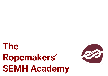# **The Ropemakers' SEMH Academy**

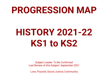### **PROGRESSION MAP**

## **HISTORY 2021-22 KS1 to KS2**

Subject Leader: To Be Confirmed Last Review of this Subject: September 2021

Love, Flourish, Social Justice, Community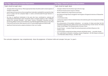| <b>Key Stage 1 National Curriculum Expectations</b>                                                                                                                                                                                                                                                                                                                                                                                                                                                                                                                                                                                                                                                                                                                                                                                                                               | <b>Key Stage 2 National Curriculum Expectations</b>                                                                                                                                                                                                                                                                                                                                                                                                                                                                                                                                                                                                                                                                                                                                                                                                                                                                                                                                                                         |  |  |
|-----------------------------------------------------------------------------------------------------------------------------------------------------------------------------------------------------------------------------------------------------------------------------------------------------------------------------------------------------------------------------------------------------------------------------------------------------------------------------------------------------------------------------------------------------------------------------------------------------------------------------------------------------------------------------------------------------------------------------------------------------------------------------------------------------------------------------------------------------------------------------------|-----------------------------------------------------------------------------------------------------------------------------------------------------------------------------------------------------------------------------------------------------------------------------------------------------------------------------------------------------------------------------------------------------------------------------------------------------------------------------------------------------------------------------------------------------------------------------------------------------------------------------------------------------------------------------------------------------------------------------------------------------------------------------------------------------------------------------------------------------------------------------------------------------------------------------------------------------------------------------------------------------------------------------|--|--|
| Pupils should be taught about:                                                                                                                                                                                                                                                                                                                                                                                                                                                                                                                                                                                                                                                                                                                                                                                                                                                    | Pupils should be taught about:                                                                                                                                                                                                                                                                                                                                                                                                                                                                                                                                                                                                                                                                                                                                                                                                                                                                                                                                                                                              |  |  |
| changes within living memory. Where appropriate, these should be used to reveal aspects of<br>change in national life;<br>events beyond living memory that are significant nationally or globally [for example the Great<br>Fire of London, the first aeroplane flight or events commemorated through festivals or<br>anniversaries];<br>• the lives of significant individuals in the past who have contributed to national and<br>international achievements. Some should be used to compare aspects of life in different<br>periods [for example Elizabeth I and Queen Victoria, Christopher Columbus and Neil<br>Armstrong, William Caxton and Tim Berners-Lee, Pieter Bruegel the Elder and LS Lowry, Rosa<br>Parks and Emily Davison, Mary Seacole and/or Florence Nightingale and EdithCavell];<br>significant historical events, people and places in their own locality. | changes in Britain from the Stone Age to the Iron Age;<br>the Roman Empire and its impact on Britain;<br>Britain's settlement by Anglo-Saxons and Scots;<br>the Viking and Anglo-Saxon struggle for the Kingdom of England to the time of Edward the<br>Confessor;<br>a local history study;<br>a study of an aspect or theme in British history that extends pupils' chronological knowledge<br>beyond 1066;<br>the achievements of the earliest civilizations $-$ an overview of where and when the first<br>civilizations appeared and a depth study of one of the following: Ancient Sumer; The Indus<br>Valley; Ancient Egypt; The Shang Dynasty of Ancient China;<br>Ancient Greece - a study of Greek life and achievements and their influence on the<br>western world;<br>a non-European society that provides contrasts with British history - one study chosen<br>from: early Islamic civilization, including a study of Baghdad c. AD 900; Mayan civilization<br>c. AD 900; Benin (West Africa) c. AD 900-1300. |  |  |

This curriculum progression map comprehensively shows the progression of historical skills and concepts from year 1 to year 6.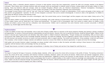### **Intent**

PlanIt History offers a coherently planned sequence of lessons to help teachers ensure they have progressively covered the skills and concepts required in the National Curriculum. PlanIt History aims to develop historical skills and concepts which are transferable to whatever period of history is being studied and will equip children for future learning. These key historical skills and concepts, which are revisited throughout different units, are: Historical Interpretations; Historical Investigations; Chronological Understanding; Knowledge and Understanding of Events, People and Changes in the Past; Presenting, Organising and Communicating.

The coverage of recent history in KS1 such as 'Toys' and 'Travel and Transport' enables children to acquire an understanding of time, events and people in their memory and their parents' and grandparents' memories. For KS1, we have designed a curriculum that can be covered chronologically in reverse to allow a full opportunity for children to really grasp the difficult concept of the passing of time.

The intent in lower KS2 is that children can work in chronological order from ancient history such as 'Ancient Egypt' and then progress onto more modern history such as 'The Railways'.

Upper KS2 allows children to repeat and embed this sequence of chronology with a wider selection of ancient history such as 'Early Islamic Civilisations' and 'Stone Age' through to more modern history such as 'World War II' and 'Leisure and Entertainment'. The repeat in KS2 of chronological order from ancient to modern allows for children to truly develop and embed a sense of time and how civilisations were interconnected. Children start to understand how some historical events occurred concurrently in different locations, e.g. Ancient Egypt and the Stone Age.

### **Implementation**

In order for children to know more and remember more in each area of history studied, there is a structure to the lesson sequence whereby prior learning is always considered and opportunities for revision of facts and historical understanding are built into lessons. However, this is not to say that this structure should be followed rigidly: it allows for this revision to become part of good practice and ultimately helps build a depth to children's historical understanding. Through revisiting and consolidating skills, our lesson plans and resources help children build on prior knowledge alongside introducing new skills and challenge. We have suggested a specific series of lessons for each key stage, which will offer structure and narrative but are by no means to be used exclusively, rather to support planning. The revision and introduction of key vocabulary is built into each lesson. This vocabulary is then included in display materials and additional resources to ensure that children are allowed opportunities to repeat and revise this knowledge.

Adult guides and accurate historical subject knowledge are always provided within lessons to allow the teacher and adults working in those lessons to feel confident and supported with the historical skills and knowledge that they are teaching.

Through these lessons, we intend to inspire pupils and practitioners to develop a love of history and see how it has shaped the world they live in.

### **Impact**

The impact of using the full range of resources, including display materials, will be seen across the school with an increase in the profile of history. The learning environment across the school will be more consistent with historical technical vocabulary displayed, spoken and used by all learners. Whole-school and parental engagement will be improved through the use of history-specific home learning tasks and opportunities suggested in lessons and overviews for wider learning. We want to ensure that history is loved by teachers and pupils across school, therefore encouraging them to want to continue building on this wealth of historical knowledge and understanding, now and in the future. Impact can also be measured through key questioning skills built into lessons, child-led assessment such as success criteria grids, jigsaw targets and KWL grids and summative assessments aimed at targeting next steps in learning.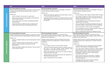|                                   | KS1                                                                                                                                                                                                                                                                                                                                                                                                                | LKS2                                                                                                                                                                                                                                                                                                                                                                             | UKS2                                                                                                                                                                                                                                                                                                                                                                                                                                                                                                                                                                                                                                                                  |  |
|-----------------------------------|--------------------------------------------------------------------------------------------------------------------------------------------------------------------------------------------------------------------------------------------------------------------------------------------------------------------------------------------------------------------------------------------------------------------|----------------------------------------------------------------------------------------------------------------------------------------------------------------------------------------------------------------------------------------------------------------------------------------------------------------------------------------------------------------------------------|-----------------------------------------------------------------------------------------------------------------------------------------------------------------------------------------------------------------------------------------------------------------------------------------------------------------------------------------------------------------------------------------------------------------------------------------------------------------------------------------------------------------------------------------------------------------------------------------------------------------------------------------------------------------------|--|
|                                   | <b>KS1 History National Curriculum</b><br>Children should understand some of the ways in which we find<br>out about the past and identify different ways in which it is                                                                                                                                                                                                                                            | <b>KS2 History National Curriculum</b><br>Children should understand how our knowledge of the past is<br>constructed from a range of sources.                                                                                                                                                                                                                                    | <b>KS2 History National Curriculum</b><br>Children should understand how our knowledge of the past is<br>constructed from a range of sources.                                                                                                                                                                                                                                                                                                                                                                                                                                                                                                                         |  |
| <b>Historical Interpretations</b> | represented.<br>Children can:<br>start to compare two versions of a past event;<br>a.<br>observe and use pictures, photographs and artefacts to<br>$\mathbf{b}$<br>find out about the past;<br>start to use stories or accounts to distinguish between<br>$\mathbb{C}$<br>fact and fiction:<br>explain that there are different types of evidence and<br>d<br>sources that can be used to help represent the past. | Children can:<br>look at more than two versions of the same event or story<br>a<br>in history and identify differences;<br>investigate different accounts of historical events and be<br>$\mathbf{b}$<br>able to explain some of the reasons why the accounts may<br>be different.                                                                                               | Children can:<br>find and analyse a wide range of evidence about the past;<br>$\partial$<br>$\mathbf{b}$<br>use a range of evidence to offer some clear reasons for<br>different interpretations of events, linking this to factual<br>understanding about the past;<br>consider different ways of checking the accuracy of<br>$\mathbb C$<br>interpretations of the past;<br>start to understand the difference between primary and<br>d.<br>secondary evidence and the impact of this on reliability;<br>show an awareness of the concept of propaganda;<br>e<br>know that people in the past represent events or ideas in a<br>way that may be to persuade others; |  |
|                                   |                                                                                                                                                                                                                                                                                                                                                                                                                    |                                                                                                                                                                                                                                                                                                                                                                                  | begin to evaluate the usefulness of different sources.<br>$\Box$                                                                                                                                                                                                                                                                                                                                                                                                                                                                                                                                                                                                      |  |
|                                   | <b>KS1 History National Curriculum</b><br>Children should ask and answer questions, using other sources<br>to show that they know and understand key features of events.<br>Children can:                                                                                                                                                                                                                          | <b>KS2 History National Curriculum</b><br>Pupils should regularly address and sometimes devise<br>historically valid questions about change, cause, similarity and<br>difference, and significance.<br>Children should construct informed responses that involve                                                                                                                 | <b>KS2 History National Curriculum</b><br>Pupils should regularly address and sometimes devise<br>historically valid questions about change, cause, similarity and<br>difference, and significance.<br>Children should construct informed responses that involve                                                                                                                                                                                                                                                                                                                                                                                                      |  |
| <b>Historical Investigations</b>  | observe or handle evidence to ask simple questions about<br>a.<br>the past;<br>observe or handle evidence to find answers to simple<br>b.                                                                                                                                                                                                                                                                          | thoughtful selection and organisation of relevant historical<br>information.<br>Children can:<br>use a range of sources to find out about the past;<br>a.                                                                                                                                                                                                                        | thoughtful selection and organisation of relevant historical<br>information.                                                                                                                                                                                                                                                                                                                                                                                                                                                                                                                                                                                          |  |
|                                   | questions about the past on the basis of simple<br>observations;                                                                                                                                                                                                                                                                                                                                                   |                                                                                                                                                                                                                                                                                                                                                                                  | Children can:<br>recognise when they are using primary and secondary<br>a                                                                                                                                                                                                                                                                                                                                                                                                                                                                                                                                                                                             |  |
|                                   | choose and select evidence and say how it can be used to<br>$\mathbb C$<br>find out about the past.                                                                                                                                                                                                                                                                                                                | construct informed responses about one aspect of life or a<br>b.<br>key event in the past through careful selection and<br>organisation of relevant historical information;<br>gather more detail from sources such as maps to build up<br>C.<br>a clearer picture of the past;<br>regularly address and sometimes devise own questions to<br>d.<br>find answers about the past; | sources of information to investigate the past;<br>use a wide range of different evidence to collect evidence<br>about the past, such as ceramics, pictures, documents,<br>printed sources, posters, online material, pictures,<br>photographs, artefacts, historic statues, figures,<br>sculptures, historic sites;<br>$\mathbb{C}$<br>select relevant sections of information to address                                                                                                                                                                                                                                                                            |  |
|                                   |                                                                                                                                                                                                                                                                                                                                                                                                                    | begin to undertake their own research.<br>e                                                                                                                                                                                                                                                                                                                                      | historically valid questions and construct detailed,<br>informed responses;<br>investigate their own lines of enquiry by posing<br>d<br>historically valid questions to answer.                                                                                                                                                                                                                                                                                                                                                                                                                                                                                       |  |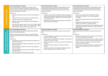|                                           | <b>KS1 History National Curriculum</b>                                                                                                                                                                                 | <b>KS2 History National Curriculum</b>                                                                                                                                                                       | <b>KS2 History National Curriculum</b>                                                                                                                                                                       |  |
|-------------------------------------------|------------------------------------------------------------------------------------------------------------------------------------------------------------------------------------------------------------------------|--------------------------------------------------------------------------------------------------------------------------------------------------------------------------------------------------------------|--------------------------------------------------------------------------------------------------------------------------------------------------------------------------------------------------------------|--|
|                                           | Pupils should develop an awareness of the past, using<br>common words and phrases relating to the passing of time.<br>They should know where the people and events they study fit<br>within a chronological framework. | Pupils should continue to develop a chronologically secure<br>knowledge and understanding of British, local and world<br>history, establishing clear narratives within and across the<br>periods they study. | Pupils should continue to develop a chronologically secure<br>knowledge and understanding of British, local and world<br>history, establishing clear narratives within and across the<br>periods they study. |  |
|                                           | Children can:                                                                                                                                                                                                          | Children can:                                                                                                                                                                                                | Children can:                                                                                                                                                                                                |  |
| <b>Chronological Understanding</b>        | sequence artefacts and events that are close together in<br>a.<br>time:                                                                                                                                                | sequence several events, artefacts or historical figures on<br>a<br>a timeline using dates, including those that are sometimes<br>further apart, and terms related to the unit being studied                 | order an increasing number of significant events,<br>movements and dates on a timeline using dates<br>accurately;                                                                                            |  |
|                                           | $\mathbf{b}$<br>order dates from earliest to latest on simple timelines;                                                                                                                                               | and passing of time;                                                                                                                                                                                         |                                                                                                                                                                                                              |  |
|                                           | sequence pictures from different periods;<br>$\mathbb{C}$                                                                                                                                                              | $\mathbf b$<br>understand that a timeline can be divided into BC (Before                                                                                                                                     | accurately use dates and terms to describe historical<br>events;                                                                                                                                             |  |
|                                           | describe memories and changes that have happened in<br>d.<br>their own lives;                                                                                                                                          | Christ) and AD (Anno Domini).                                                                                                                                                                                | understand and describe in some detail the main<br>C.<br>changes to an aspect in a period in history;                                                                                                        |  |
|                                           | use words and phrases such as: old, new, earliest, latest,<br>$\mathbf{e}$<br>past, present, future, century, new, newest, old, oldest,<br>modern, before, after to show the passing of time.                          |                                                                                                                                                                                                              | understand how some historical events/periods occurred<br>concurrently in different locations, e.g. Indus Valley and<br>Ancient Egypt.                                                                       |  |
|                                           | <b>KS1 History National Curriculum</b>                                                                                                                                                                                 | <b>KS2 History National Curriculum</b>                                                                                                                                                                       | <b>KS2 History National Curriculum</b>                                                                                                                                                                       |  |
|                                           | Pupils should identify similarities and differences between<br>ways of life in different periods.                                                                                                                      | Children should note connections, contrasts and trends over<br>time.                                                                                                                                         | Pupils should note connections, contrasts and trends over<br>time.                                                                                                                                           |  |
|                                           | Children should choose and use parts of stories and other                                                                                                                                                              | Children can:                                                                                                                                                                                                | Children can:                                                                                                                                                                                                |  |
| Changes in the Past                       | sources to show that they know and understand key features<br>of events.                                                                                                                                               | note key changes over a period of time and be able to give<br>a<br>reasons for those changes;                                                                                                                | identify and note connections, contrasts and trends over<br>time in the everyday lives of people;                                                                                                            |  |
|                                           | Children can:                                                                                                                                                                                                          | find out about the everyday lives of people in time studied                                                                                                                                                  | use appropriate historical terms such as culture, religious,                                                                                                                                                 |  |
|                                           |                                                                                                                                                                                                                        | compared with our life today;                                                                                                                                                                                |                                                                                                                                                                                                              |  |
|                                           | recognise some similarities and differences between the<br>a.                                                                                                                                                          |                                                                                                                                                                                                              | social, economic and political when describing the past;                                                                                                                                                     |  |
|                                           | past and the present;                                                                                                                                                                                                  | explain how people and events in the past have influenced<br>$\mathbb{C}$<br>life today;                                                                                                                     | examine causes and results of great events and the<br>impact these had on people;                                                                                                                            |  |
|                                           | b<br>identify similarities and differences between ways of life in<br>different periods;                                                                                                                               | identify key features, aspects and events of the time<br>d                                                                                                                                                   | describe the key features of the past, including attitudes,                                                                                                                                                  |  |
| People and                                | know and recount episodes from stories and significant<br>$\mathbb{C}$<br>events in history;                                                                                                                           | studied;<br>describe connections and contrasts between aspects of<br>$\epsilon$                                                                                                                              | beliefs and the everyday lives of men, women and<br>children.                                                                                                                                                |  |
| Knowledge and Understanding of<br>Events, | understand that there are reasons why people in the past<br>d.<br>acted as they did;                                                                                                                                   | history, people, events and artefacts studied.                                                                                                                                                               |                                                                                                                                                                                                              |  |